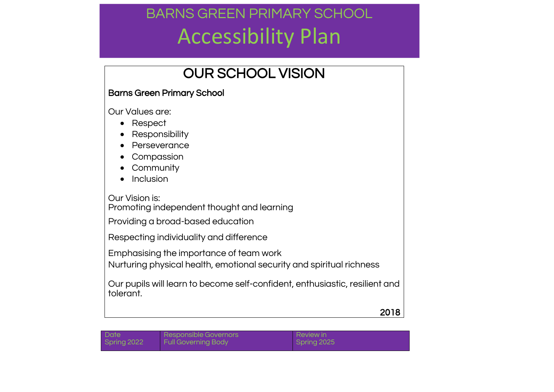### OUR SCHOOL VISION

### Barns Green Primary School

Our Values are:

- Respect
- Responsibility
- Perseverance
- Compassion
- Community
- Inclusion

Our Vision is:

Promoting independent thought and learning

Providing a broad-based education

Respecting individuality and difference

Emphasising the importance of team work

Nurturing physical health, emotional security and spiritual richness

Our pupils will learn to become self-confident, enthusiastic, resilient and tolerant.

2018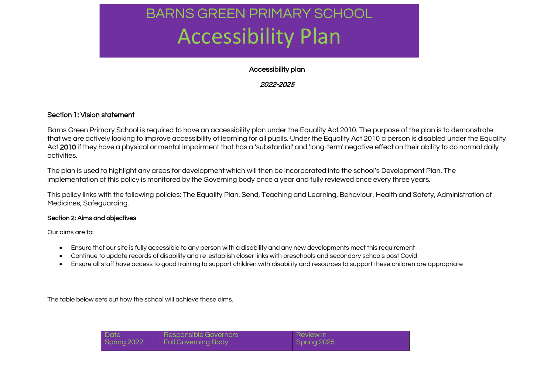#### Accessibility plan

#### 2022-2025

#### Section 1: Vision statement

Barns Green Primary School is required to have an accessibility plan under the Equality Act 2010. The purpose of the plan is to demonstrate that we are actively looking to improve accessibility of learning for all pupils. Under the Equality Act 2010 a person is disabled under the Equality Act 2010 if they have a physical or mental impairment that has a 'substantial' and 'long-term' negative effect on their ability to do normal daily activities.

The plan is used to highlight any areas for development which will then be incorporated into the school's Development Plan. The implementation of this policy is monitored by the Governing body once a year and fully reviewed once every three years.

This policy links with the following policies: The Equality Plan, Send, Teaching and Learning, Behaviour, Health and Safety, Administration of Medicines, Safeguarding.

#### Section 2: Aims and objectives

Our aims are to:

- Ensure that our site is fully accessible to any person with a disability and any new developments meet this requirement
- Continue to update records of disability and re-establish closer links with preschools and secondary schools post Covid
- Ensure all staff have access to good training to support children with disability and resources to support these children are appropriate

The table below sets out how the school will achieve these aims.

| Date        | Responsible Governors      | <b>Review in</b> |
|-------------|----------------------------|------------------|
| Spring 2022 | <b>Full Governing Body</b> | Spring 2025      |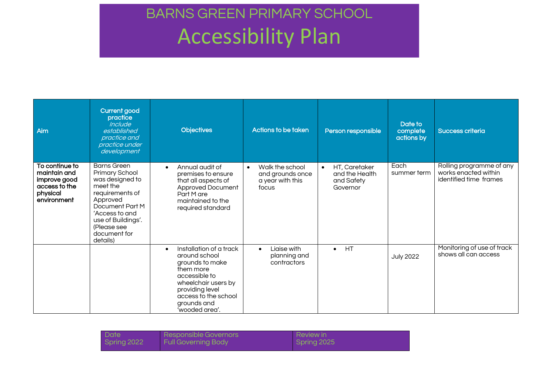| Aim                                                                                        | <b>Current good</b><br>practice<br>Include<br>established<br>practice and<br>practice under<br>development                                                                                               | <b>Objectives</b>                                                                                                                                                                                         | Actions to be taken                                                           | Person responsible                                                     | Date to<br>complete<br>actions by | <b>Success criteria</b>                                                    |
|--------------------------------------------------------------------------------------------|----------------------------------------------------------------------------------------------------------------------------------------------------------------------------------------------------------|-----------------------------------------------------------------------------------------------------------------------------------------------------------------------------------------------------------|-------------------------------------------------------------------------------|------------------------------------------------------------------------|-----------------------------------|----------------------------------------------------------------------------|
| To continue to<br>maintain and<br>improve good<br>access to the<br>physical<br>environment | <b>Barns Green</b><br>Primary School<br>was designed to<br>meet the<br>requirements of<br>Approved<br>Document Part M<br>'Access to and<br>use of Buildings'.<br>(Please see<br>document for<br>details) | Annual audit of<br>$\bullet$<br>premises to ensure<br>that all aspects of<br>Approved Document<br>Part M are<br>maintained to the<br>required standard                                                    | Walk the school<br>$\bullet$<br>and grounds once<br>a year with this<br>focus | HT, Caretaker<br>$\bullet$<br>and the Health<br>and Safety<br>Governor | Each<br>summer term               | Rolling programme of any<br>works enacted within<br>identified time frames |
|                                                                                            |                                                                                                                                                                                                          | Installation of a track<br>$\bullet$<br>around school<br>grounds to make<br>them more<br>accessible to<br>wheelchair users by<br>providing level<br>access to the school<br>grounds and<br>'wooded area'. | Liaise with<br>$\bullet$<br>planning and<br>contractors                       | HT<br>$\bullet$                                                        | <b>July 2022</b>                  | Monitoring of use of track<br>shows all can access                         |

| <b>Date</b> | Responsible Governors      | <b>Review in</b> |
|-------------|----------------------------|------------------|
| Spring 2022 | <b>Full Governing Body</b> | Spring 2025      |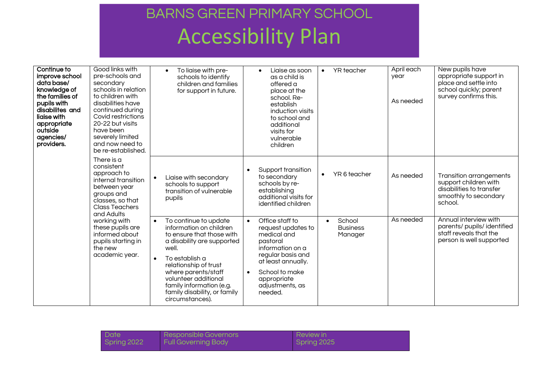| Continue to<br>improve school<br>data base/<br>knowledge of<br>the families of<br>pupils with<br>disabilites and<br>liaise with<br>appropriate<br>outside<br>agencies/<br>providers. | Good links with<br>pre-schools and<br>secondary<br>schools in relation<br>to children with<br>disabilities have<br>continued during<br>Covid restrictions<br>20-22 but visits<br>have been<br>severely limited<br>and now need to<br>be re-established. | To liaise with pre-<br>$\bullet$<br>schools to identify<br>children and families<br>for support in future.                                                                                                                                                                                                 | Liaise as soon<br>$\bullet$<br>as a child is<br>offered a<br>place at the<br>school. Re-<br>establish<br>induction visits<br>to school and<br>additional<br>visits for<br>vulnerable<br>children                         | YR teacher<br>$\bullet$                           | April each<br>year<br>As needed | New pupils have<br>appropriate support in<br>place and settle into<br>school quickly; parent<br>survey confirms this.   |
|--------------------------------------------------------------------------------------------------------------------------------------------------------------------------------------|---------------------------------------------------------------------------------------------------------------------------------------------------------------------------------------------------------------------------------------------------------|------------------------------------------------------------------------------------------------------------------------------------------------------------------------------------------------------------------------------------------------------------------------------------------------------------|--------------------------------------------------------------------------------------------------------------------------------------------------------------------------------------------------------------------------|---------------------------------------------------|---------------------------------|-------------------------------------------------------------------------------------------------------------------------|
|                                                                                                                                                                                      | There is a<br>consistent<br>approach to<br>internal transition<br>between year<br>groups and<br>classes, so that<br><b>Class Teachers</b><br>and Adults                                                                                                 | Liaise with secondary<br>schools to support<br>transition of vulnerable<br>pupils                                                                                                                                                                                                                          | Support transition<br>to secondary<br>schools by re-<br>establishing<br>additional visits for<br>identified children                                                                                                     | YR 6 teacher<br>$\bullet$                         | As needed                       | <b>Transition arrangements</b><br>support children with<br>disabilities to transfer<br>smoothly to secondary<br>school. |
|                                                                                                                                                                                      | working with<br>these pupils are<br>informed about<br>pupils starting in<br>the new<br>academic year.                                                                                                                                                   | To continue to update<br>$\bullet$<br>information on children<br>to ensure that those with<br>a disability are supported<br>well.<br>To establish a<br>relationship of trust<br>where parents/staff<br>volunteer additional<br>family information (e.g.<br>family disability, or family<br>circumstances). | Office staff to<br>$\bullet$<br>request updates to<br>medical and<br>pastoral<br>information on a<br>regular basis and<br>at least annually.<br>School to make<br>$\bullet$<br>appropriate<br>adjustments, as<br>needed. | School<br>$\bullet$<br><b>Business</b><br>Manager | As needed                       | Annual interview with<br>parents/ pupils/ identified<br>staff reveals that the<br>person is well supported              |

| Date        | Responsible Governors      | Review in   |
|-------------|----------------------------|-------------|
| Spring 2022 | <b>Full Governing Body</b> | Spring 2025 |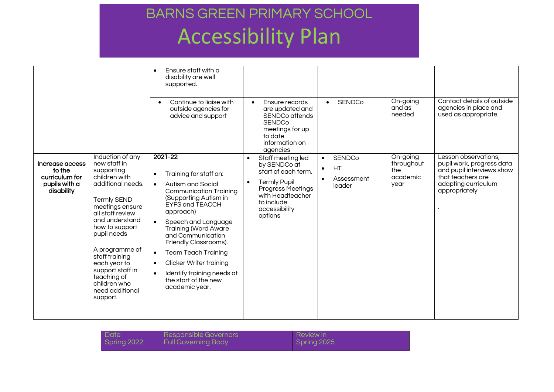|                                                                            |                                                                                                                                                                                                                                                                                                                                            | Ensure staff with a<br>$\bullet$<br>disability are well<br>supported.<br>Continue to liaise with<br>$\bullet$<br>outside agencies for<br>advice and support                                                                                                                                                                                                                                                                                                                    | Ensure records<br>are updated and<br><b>SENDCo attends</b><br><b>SENDCo</b><br>meetings for up<br>to date<br>information on<br>agencies                                                             | <b>SENDCo</b><br>$\bullet$                                                         | On-going<br>and as<br>needed                      | Contact details of outside<br>agencies in place and<br>used as appropriate.                                                                 |
|----------------------------------------------------------------------------|--------------------------------------------------------------------------------------------------------------------------------------------------------------------------------------------------------------------------------------------------------------------------------------------------------------------------------------------|--------------------------------------------------------------------------------------------------------------------------------------------------------------------------------------------------------------------------------------------------------------------------------------------------------------------------------------------------------------------------------------------------------------------------------------------------------------------------------|-----------------------------------------------------------------------------------------------------------------------------------------------------------------------------------------------------|------------------------------------------------------------------------------------|---------------------------------------------------|---------------------------------------------------------------------------------------------------------------------------------------------|
| Increase access<br>to the<br>curriculum for<br>pupils with a<br>disability | Induction of any<br>new staff in<br>supporting<br>children with<br>additional needs.<br><b>Termly SEND</b><br>meetings ensure<br>all staff review<br>and understand<br>how to support<br>pupil needs<br>A programme of<br>staff training<br>each year to<br>support staff in<br>teaching of<br>children who<br>need additional<br>support. | $2021 - 22$<br>Training for staff on:<br>$\bullet$<br>Autism and Social<br>$\bullet$<br><b>Communication Training</b><br>(Supporting Autism in<br>EYFS and TEACCH<br>approach)<br>Speech and Language<br>$\bullet$<br><b>Training (Word Aware</b><br>and Communication<br>Friendly Classrooms).<br><b>Team Teach Training</b><br>$\bullet$<br><b>Clicker Writer training</b><br>$\bullet$<br>Identify training needs at<br>$\bullet$<br>the start of the new<br>academic year. | Staff meeting led<br>$\bullet$<br>by SENDCo at<br>start of each term.<br><b>Termly Pupil</b><br>$\bullet$<br><b>Progress Meetings</b><br>with Headteacher<br>to include<br>accessibility<br>options | <b>SENDCo</b><br>$\bullet$<br>HT<br>$\bullet$<br>Assessment<br>$\bullet$<br>leader | On-going<br>throughout<br>the<br>academic<br>year | Lesson observations,<br>pupil work, progress data<br>and pupil interviews show<br>that teachers are<br>adapting curriculum<br>appropriately |

| Date        | Responsible Governors      | I Review in |
|-------------|----------------------------|-------------|
| Spring 2022 | <b>Full Governing Body</b> | Spring 2025 |